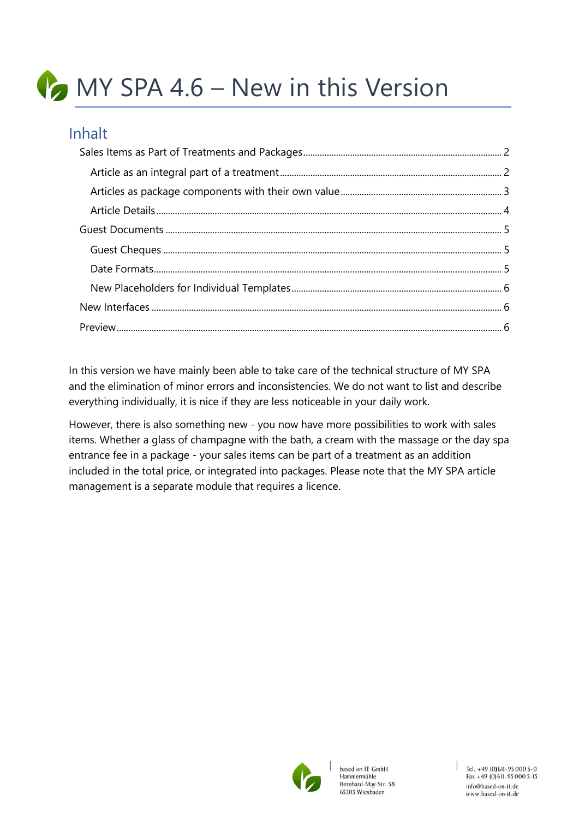# MY SPA 4.6 – New in this Version

## Inhalt

In this version we have mainly been able to take care of the technical structure of MY SPA and the elimination of minor errors and inconsistencies. We do not want to list and describe everything individually, it is nice if they are less noticeable in your daily work.

However, there is also something new - you now have more possibilities to work with sales items. Whether a glass of champagne with the bath, a cream with the massage or the day spa entrance fee in a package - your sales items can be part of a treatment as an addition included in the total price, or integrated into packages. Please note that the MY SPA article management is a separate module that requires a licence.

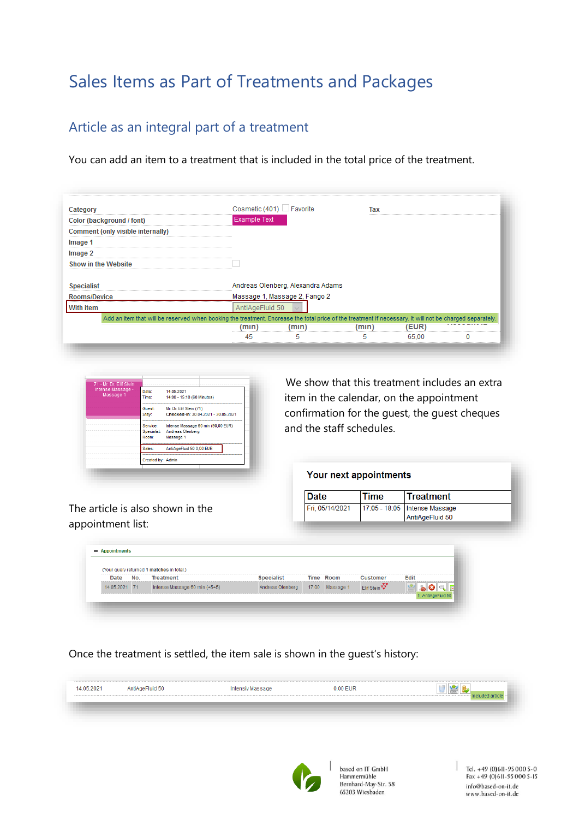# <span id="page-1-0"></span>Sales Items as Part of Treatments and Packages

#### <span id="page-1-1"></span>Article as an integral part of a treatment

You can add an item to a treatment that is included in the total price of the treatment.

| Category                                                                                                                                                 | Cosmetic (401) Favorite |                                   | Tax   |       |  |
|----------------------------------------------------------------------------------------------------------------------------------------------------------|-------------------------|-----------------------------------|-------|-------|--|
| Color (background / font)                                                                                                                                | <b>Example Text</b>     |                                   |       |       |  |
| Comment (only visible internally)                                                                                                                        |                         |                                   |       |       |  |
| Image 1                                                                                                                                                  |                         |                                   |       |       |  |
| Image 2                                                                                                                                                  |                         |                                   |       |       |  |
| <b>Show in the Website</b>                                                                                                                               |                         |                                   |       |       |  |
| <b>Specialist</b>                                                                                                                                        |                         | Andreas Olenberg, Alexandra Adams |       |       |  |
| Rooms/Device                                                                                                                                             |                         | Massage 1, Massage 2, Fango 2     |       |       |  |
| <b>With item</b>                                                                                                                                         | AntiAgeFluid 50         |                                   |       |       |  |
| Add an item that will be reserved when booking the treatment. Encrease the total price of the treatment if necessary. It will not be charged separately. |                         |                                   |       |       |  |
|                                                                                                                                                          | (min)                   | (m <sub>1</sub> )                 | (min) | (EUR) |  |
|                                                                                                                                                          | 45                      |                                   |       | 65.00 |  |



We show that this treatment includes an extra item in the calendar, on the appointment confirmation for the guest, the guest cheques and the staff schedules.

| Your next appointments |      |                               |  |
|------------------------|------|-------------------------------|--|
|                        |      |                               |  |
| Date                   | Time | ∣Treatment                    |  |
| Fri. 05/14/2021        |      | 17:05 - 18:05 Intense Massage |  |
|                        |      | AntiAgeFluid 50               |  |

The article is also shown in the appointment list:

| <b>Date</b>   | No. | <b>Treatment</b>              | <b>Specialist</b> | Time Room       | <b>Customer</b>         | <b>Edit</b> |
|---------------|-----|-------------------------------|-------------------|-----------------|-------------------------|-------------|
| 14.05.2021 71 |     | Intense Massage 60 min (+5+5) | Andreas Olenberg  | 17:00 Massage 1 | Elif Stein <sup>V</sup> |             |

Once the treatment is settled, the item sale is shown in the guest's history:

| 14.05.2021<br><b>WHEN PERSON</b> | AntiAgeFluid 50 | Intensiv Massage | 0.00 EUR |  |
|----------------------------------|-----------------|------------------|----------|--|
|                                  |                 |                  |          |  |
|                                  |                 |                  |          |  |
|                                  |                 |                  |          |  |



based on IT GmbH Hammermühle Bernhard-May-Str. 58 65203 Wiesbaden

Tel. +49 (0)611-95 000 5-0<br>Fax +49 (0)611-95 000 5-15 info@based-on-it.de www.based-on-it.de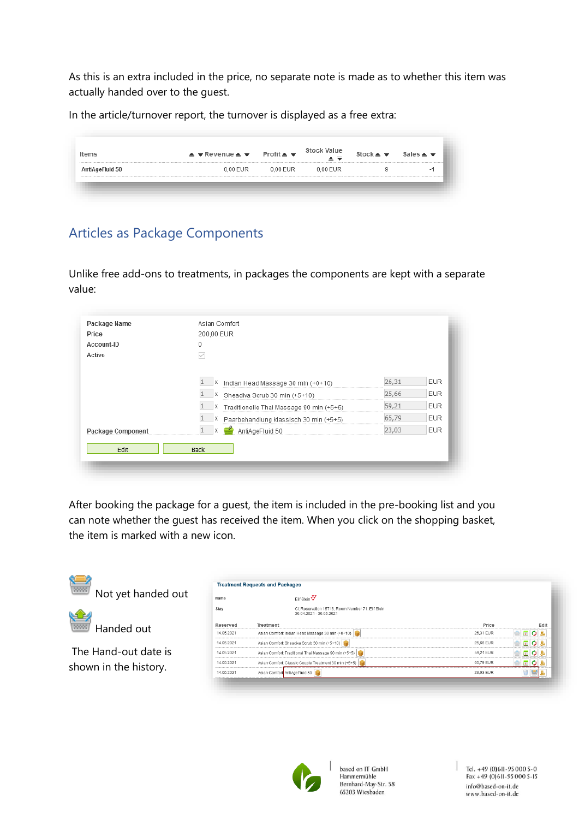As this is an extra included in the price, no separate note is made as to whether this item was actually handed over to the guest.

In the article/turnover report, the turnover is displayed as a free extra:

| ltems<br>------------------------- | $\triangle$ $\overline{\mathbf{v}}$ Revenue $\triangle$ $\overline{\mathbf{v}}$ Profit $\triangle$ $\overline{\mathbf{v}}$ |            | <b>Stock Value</b><br>▴≂ | Stock $\triangle$ $\overline{\overline{\overline{}}}$ Sales $\triangle$ $\overline{\overline{\overline{}}}$ |        |
|------------------------------------|----------------------------------------------------------------------------------------------------------------------------|------------|--------------------------|-------------------------------------------------------------------------------------------------------------|--------|
| AntiAgeFluid 50                    | 0.00 EUR                                                                                                                   | $0.00$ EUR | 0.00 EUR                 |                                                                                                             | $\sim$ |

#### <span id="page-2-0"></span>Articles as Package Components

Unlike free add-ons to treatments, in packages the components are kept with a separate value:

| Package Name      | Asian Comfort                            |           |            |
|-------------------|------------------------------------------|-----------|------------|
| Price             | 200,00 EUR                               |           |            |
| Account-ID        |                                          |           |            |
| Active            |                                          |           |            |
|                   |                                          |           |            |
|                   | Indian Head Massage 30 min (+0+10)       | 26,31     | <b>EUR</b> |
|                   | Х<br>Sheadiva Scrub 30 min (+5+10)       | 25,66     | <b>EUR</b> |
|                   | Traditionelle Thai Massage 90 min (+5+5) | 59,21     | <b>EUR</b> |
|                   | Paarbehandlung klassisch 30 min (+5+5)   | 65,79<br> | <b>EUR</b> |
| Package Component | AntiAgeFluid 50                          | 23,03     | <b>EUR</b> |

After booking the package for a guest, the item is included in the pre-booking list and you can note whether the guest has received the item. When you click on the shopping basket, the item is marked with a new icon.

<span id="page-2-1"></span>

| پ<br>[3000]           |            | <b>Treatment Requests and Packages</b>                                       |           |          |
|-----------------------|------------|------------------------------------------------------------------------------|-----------|----------|
| Not yet handed out    | Name       | Elif Stein <sup>77</sup>                                                     |           |          |
| ١Œ                    | Stav       | Cl: Reservation 15718, Room Number 71: Elif Stein<br>30.04.2021 - 30.05.2021 |           |          |
| Handed out            | Reserved   | Treatment                                                                    | Price     | Edit     |
|                       | 14.05.2021 | Asian Comfort: Indian Head Massage 30 min (+0+10)                            | 26,31 EUR | NE OB    |
|                       | 14.05.2021 | Asian Comfort: Sheadiva Scrub 30 min (+5+10)                                 | 25,66 EUR | 回りま      |
| The Hand-out date is  | 14.05.2021 | Asian Comfort: Traditional Thai Massage 90 min (+5+5)                        | 59,21 EUR | N EI O L |
|                       | 14.05.2021 | Asian Comfort: Classic Couple Treatment 30 min (+5+5)                        | 65.79 EUR | IEI OI.  |
| shown in the history. | 14.05.2021 | Asian Comfort AntiAgeFluid 50                                                | 23,03 EUR |          |



based on IT GmbH Hammermühle Bernhard-May-Str. 58 65203 Wiesbaden

Tel. +49 (0)611-95 000 5-0<br>Fax +49 (0)611-95 000 5-15 info@based-on-it.de www.based-on-it.de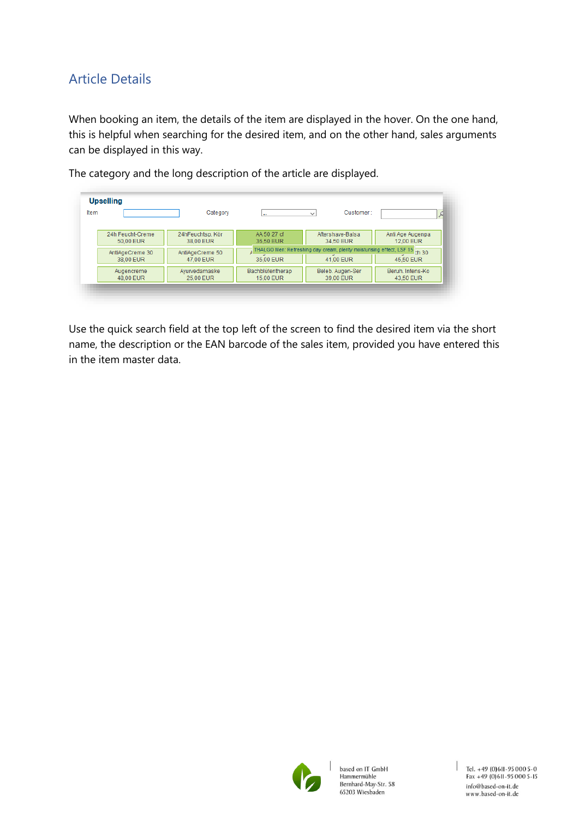## Article Details

When booking an item, the details of the item are displayed in the hover. On the one hand, this is helpful when searching for the desired item, and on the other hand, sales arguments can be displayed in this way.

| <b>Upselling</b>              |                               |                               |                                                                                                      |                               |
|-------------------------------|-------------------------------|-------------------------------|------------------------------------------------------------------------------------------------------|-------------------------------|
| Item                          | Category                      |                               | Customer:<br>$\checkmark$                                                                            |                               |
| 24h Feucht-Creme<br>50.00 EUR | 24hFeuchtsp. Kör<br>38.00 EUR | AA 50 27 cf<br>36.50 EUR      | Aftershave-Balsa<br>34.50 EUR                                                                        | Anti Age Augenpa<br>12.00 EUR |
| AntiAgeCreme 30               | AntiAgeCreme 50               |                               | $\frac{1}{4}$ THALGO Men: Refreshing day cream, plenty moisturising effect, LSF 15 $\frac{1}{20}$ 30 |                               |
| 38.00 EUR                     | 47.00 EUR                     | 35.00 EUR                     | 41.00 EUR                                                                                            | 45.50 EUR                     |
| Augencreme<br>48,00 EUR       | Avurvedamaske<br>25,00 EUR    | Bachblütentherap<br>15,00 EUR | Beleb, Augen-Ser<br>39.00 EUR                                                                        | Beruh, Intens-Ko<br>43.50 EUR |

The category and the long description of the article are displayed.

Use the quick search field at the top left of the screen to find the desired item via the short name, the description or the EAN barcode of the sales item, provided you have entered this in the item master data.



based on IT GmbH Hammermühle Bernhard-May-Str. 58 65203 Wiesbaden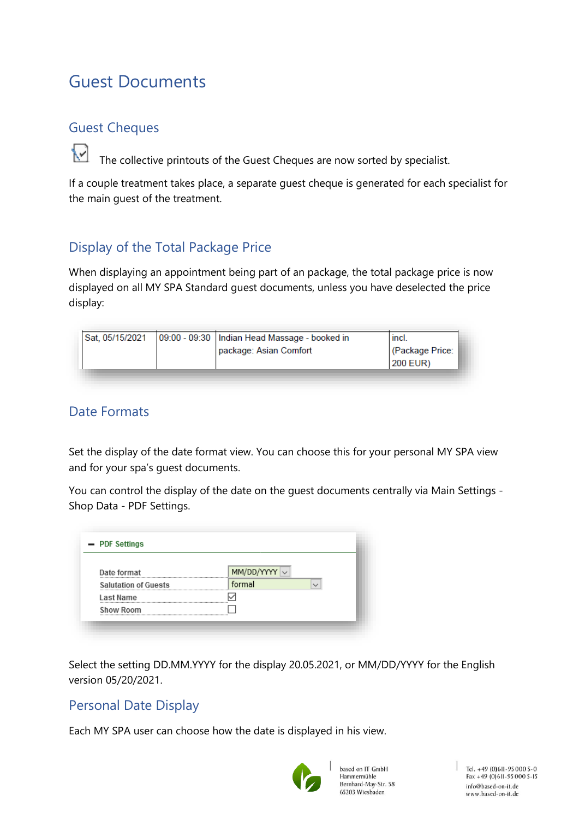# <span id="page-4-0"></span>Guest Documents

#### <span id="page-4-1"></span>Guest Cheques

The collective printouts of the Guest Cheques are now sorted by specialist.

If a couple treatment takes place, a separate guest cheque is generated for each specialist for the main guest of the treatment.

## Display of the Total Package Price

When displaying an appointment being part of an package, the total package price is now displayed on all MY SPA Standard guest documents, unless you have deselected the price display:

| Sat, 05/15/2021 | 09:00 - 09:30   Indian Head Massage - booked in | incl.           |
|-----------------|-------------------------------------------------|-----------------|
|                 | package: Asian Comfort                          | (Package Price: |
|                 |                                                 | 200 EUR)        |

#### <span id="page-4-2"></span>Date Formats

Set the display of the date format view. You can choose this for your personal MY SPA view and for your spa's guest documents.

You can control the display of the date on the guest documents centrally via Main Settings - Shop Data - PDF Settings.

| Date format                 | MM/DD/YYY |
|-----------------------------|-----------|
| <b>Salutation of Guests</b> | formal    |
| Last Name                   |           |
| <b>Show Room</b>            |           |

Select the setting DD.MM.YYYY for the display 20.05.2021, or MM/DD/YYYY for the English version 05/20/2021.

#### Personal Date Display

Each MY SPA user can choose how the date is displayed in his view.



based on IT GmbH Hammermühle Bernhard-May-Str. 58 65203 Wiesbaden